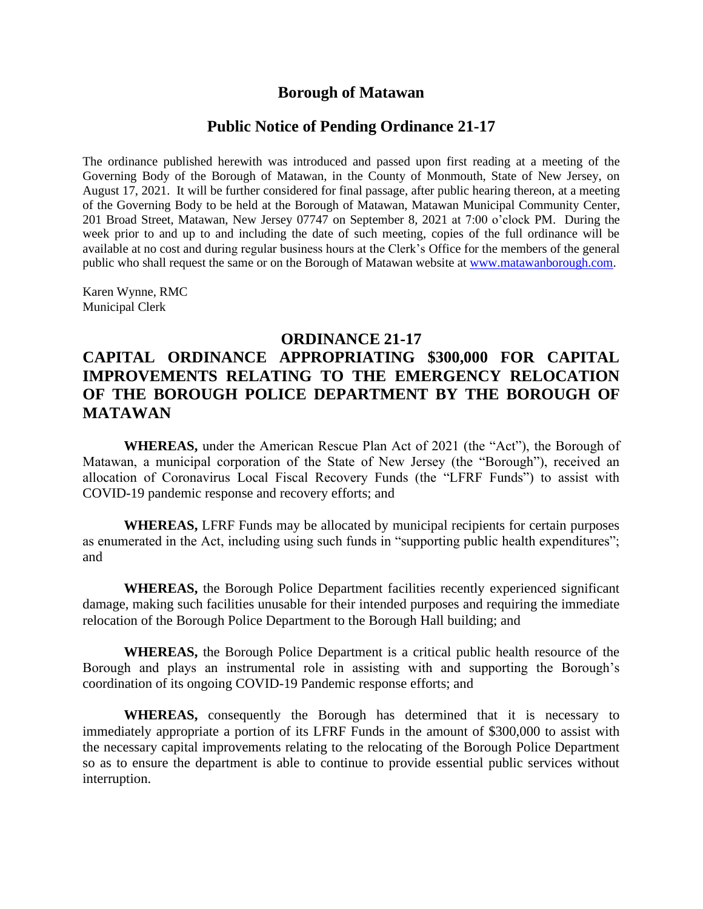## **Borough of Matawan**

## **Public Notice of Pending Ordinance 21-17**

The ordinance published herewith was introduced and passed upon first reading at a meeting of the Governing Body of the Borough of Matawan, in the County of Monmouth, State of New Jersey, on August 17, 2021. It will be further considered for final passage, after public hearing thereon, at a meeting of the Governing Body to be held at the Borough of Matawan, Matawan Municipal Community Center, 201 Broad Street, Matawan, New Jersey 07747 on September 8, 2021 at 7:00 o'clock PM. During the week prior to and up to and including the date of such meeting, copies of the full ordinance will be available at no cost and during regular business hours at the Clerk's Office for the members of the general public who shall request the same or on the Borough of Matawan website at [www.matawanborough.com.](http://www.matawanborough.com/)

Karen Wynne, RMC Municipal Clerk

## **ORDINANCE 21-17**

## **CAPITAL ORDINANCE APPROPRIATING \$300,000 FOR CAPITAL IMPROVEMENTS RELATING TO THE EMERGENCY RELOCATION OF THE BOROUGH POLICE DEPARTMENT BY THE BOROUGH OF MATAWAN**

**WHEREAS,** under the American Rescue Plan Act of 2021 (the "Act"), the Borough of Matawan, a municipal corporation of the State of New Jersey (the "Borough"), received an allocation of Coronavirus Local Fiscal Recovery Funds (the "LFRF Funds") to assist with COVID-19 pandemic response and recovery efforts; and

**WHEREAS,** LFRF Funds may be allocated by municipal recipients for certain purposes as enumerated in the Act, including using such funds in "supporting public health expenditures"; and

**WHEREAS,** the Borough Police Department facilities recently experienced significant damage, making such facilities unusable for their intended purposes and requiring the immediate relocation of the Borough Police Department to the Borough Hall building; and

**WHEREAS,** the Borough Police Department is a critical public health resource of the Borough and plays an instrumental role in assisting with and supporting the Borough's coordination of its ongoing COVID-19 Pandemic response efforts; and

**WHEREAS,** consequently the Borough has determined that it is necessary to immediately appropriate a portion of its LFRF Funds in the amount of \$300,000 to assist with the necessary capital improvements relating to the relocating of the Borough Police Department so as to ensure the department is able to continue to provide essential public services without interruption.